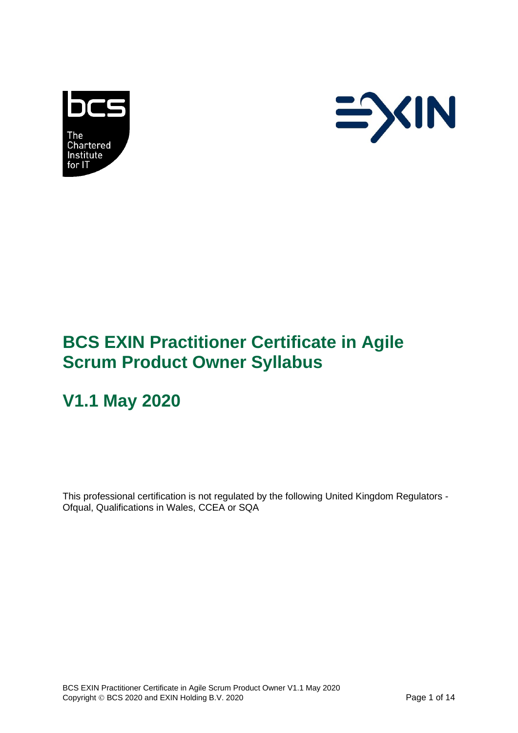



# **BCS EXIN Practitioner Certificate in Agile Scrum Product Owner Syllabus**

# **V1.1 May 2020**

This professional certification is not regulated by the following United Kingdom Regulators - Ofqual, Qualifications in Wales, CCEA or SQA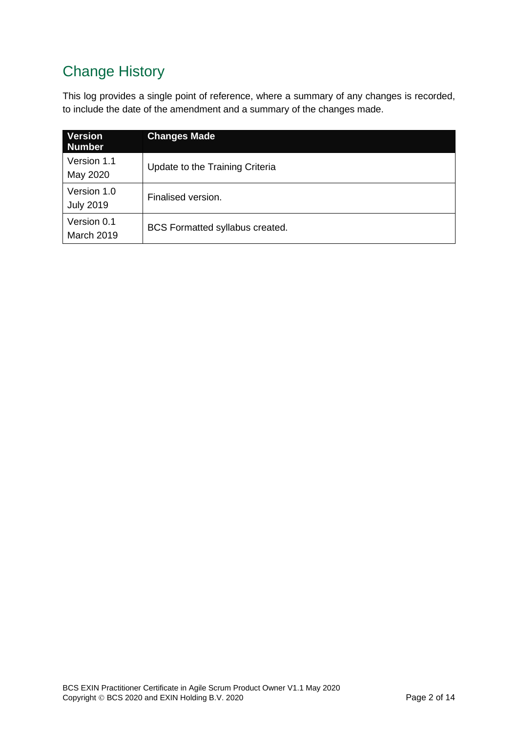# Change History

This log provides a single point of reference, where a summary of any changes is recorded, to include the date of the amendment and a summary of the changes made.

| <b>Version</b><br><b>Number</b> | <b>Changes Made</b>             |
|---------------------------------|---------------------------------|
| Version 1.1<br>May 2020         | Update to the Training Criteria |
| Version 1.0<br><b>July 2019</b> | Finalised version.              |
| Version 0.1<br>March 2019       | BCS Formatted syllabus created. |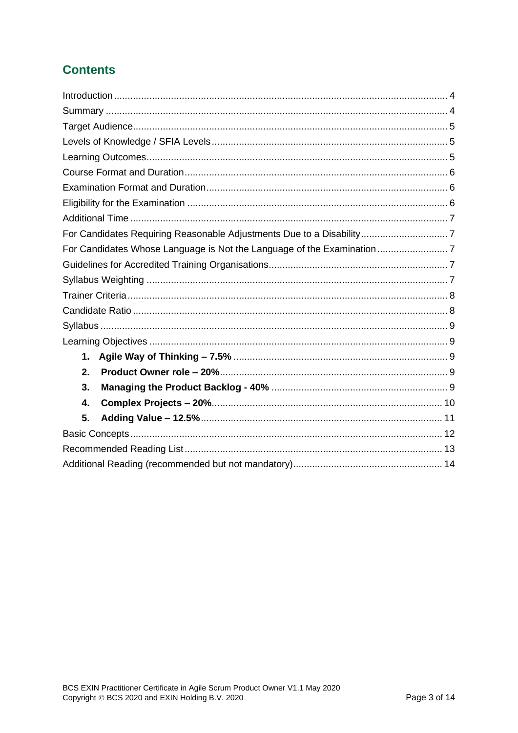### **Contents**

|    | For Candidates Requiring Reasonable Adjustments Due to a Disability7 |  |
|----|----------------------------------------------------------------------|--|
|    |                                                                      |  |
|    |                                                                      |  |
|    |                                                                      |  |
|    |                                                                      |  |
|    |                                                                      |  |
|    |                                                                      |  |
|    |                                                                      |  |
| 1. |                                                                      |  |
| 2. |                                                                      |  |
| 3. |                                                                      |  |
| 4. |                                                                      |  |
| 5. |                                                                      |  |
|    |                                                                      |  |
|    |                                                                      |  |
|    |                                                                      |  |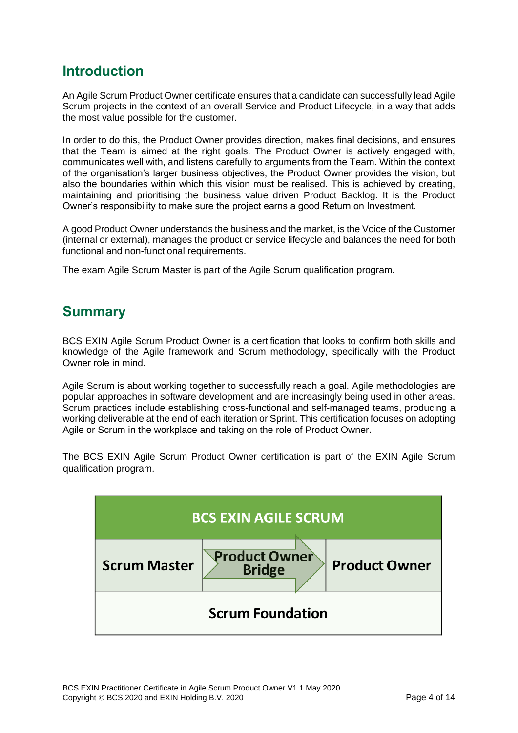#### <span id="page-3-0"></span>**Introduction**

An Agile Scrum Product Owner certificate ensures that a candidate can successfully lead Agile Scrum projects in the context of an overall Service and Product Lifecycle, in a way that adds the most value possible for the customer.

In order to do this, the Product Owner provides direction, makes final decisions, and ensures that the Team is aimed at the right goals. The Product Owner is actively engaged with, communicates well with, and listens carefully to arguments from the Team. Within the context of the organisation's larger business objectives, the Product Owner provides the vision, but also the boundaries within which this vision must be realised. This is achieved by creating, maintaining and prioritising the business value driven Product Backlog. It is the Product Owner's responsibility to make sure the project earns a good Return on Investment.

A good Product Owner understands the business and the market, is the Voice of the Customer (internal or external), manages the product or service lifecycle and balances the need for both functional and non-functional requirements.

The exam Agile Scrum Master is part of the Agile Scrum qualification program.

#### <span id="page-3-1"></span>**Summary**

BCS EXIN Agile Scrum Product Owner is a certification that looks to confirm both skills and knowledge of the Agile framework and Scrum methodology, specifically with the Product Owner role in mind.

Agile Scrum is about working together to successfully reach a goal. Agile methodologies are popular approaches in software development and are increasingly being used in other areas. Scrum practices include establishing cross-functional and self-managed teams, producing a working deliverable at the end of each iteration or Sprint. This certification focuses on adopting Agile or Scrum in the workplace and taking on the role of Product Owner.

The BCS EXIN Agile Scrum Product Owner certification is part of the EXIN Agile Scrum qualification program.

| <b>BCS EXIN AGILE SCRUM</b> |                                       |                      |
|-----------------------------|---------------------------------------|----------------------|
| <b>Scrum Master</b>         | <b>Product Owner</b><br><b>Bridge</b> | <b>Product Owner</b> |
| <b>Scrum Foundation</b>     |                                       |                      |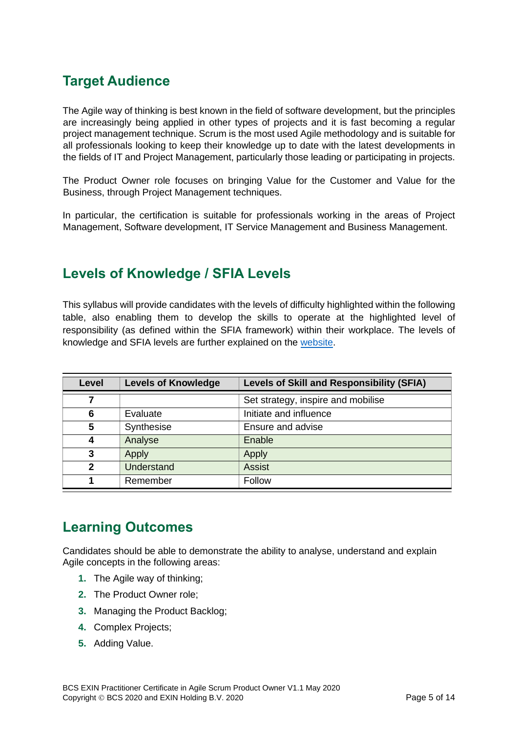### <span id="page-4-0"></span>**Target Audience**

The Agile way of thinking is best known in the field of software development, but the principles are increasingly being applied in other types of projects and it is fast becoming a regular project management technique. Scrum is the most used Agile methodology and is suitable for all professionals looking to keep their knowledge up to date with the latest developments in the fields of IT and Project Management, particularly those leading or participating in projects.

The Product Owner role focuses on bringing Value for the Customer and Value for the Business, through Project Management techniques.

In particular, the certification is suitable for professionals working in the areas of Project Management, Software development, IT Service Management and Business Management.

#### <span id="page-4-1"></span>**Levels of Knowledge / SFIA Levels**

This syllabus will provide candidates with the levels of difficulty highlighted within the following table, also enabling them to develop the skills to operate at the highlighted level of responsibility (as defined within the SFIA framework) within their workplace. The levels of knowledge and SFIA levels are further explained on the [website.](https://certifications.bcs.org/upload/pdf/sfia-levels-knowledge.pdf)

| Level | <b>Levels of Knowledge</b> | <b>Levels of Skill and Responsibility (SFIA)</b> |
|-------|----------------------------|--------------------------------------------------|
| 7     |                            | Set strategy, inspire and mobilise               |
| 6     | Evaluate                   | Initiate and influence                           |
| 5     | Synthesise                 | Ensure and advise                                |
|       | Analyse                    | Enable                                           |
| 3     | Apply                      | Apply                                            |
| 2     | Understand                 | <b>Assist</b>                                    |
|       | Remember                   | Follow                                           |

### <span id="page-4-2"></span>**Learning Outcomes**

Candidates should be able to demonstrate the ability to analyse, understand and explain Agile concepts in the following areas:

- **1.** The Agile way of thinking;
- **2.** The Product Owner role;
- **3.** Managing the Product Backlog;
- **4.** Complex Projects;
- **5.** Adding Value.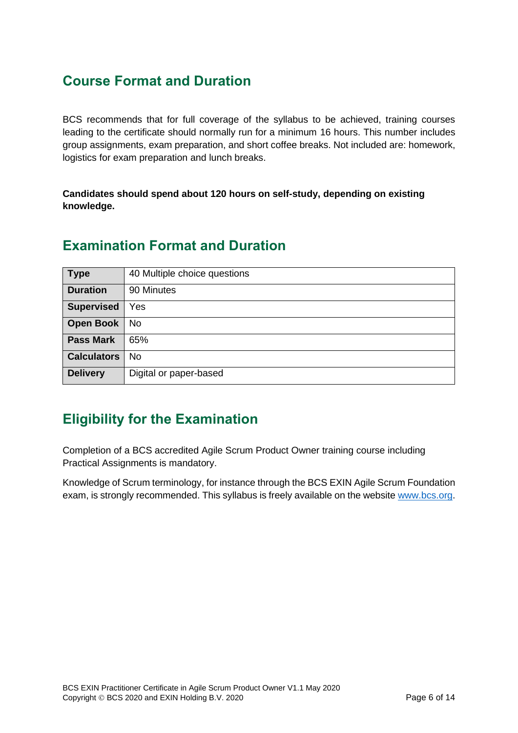### <span id="page-5-0"></span>**Course Format and Duration**

BCS recommends that for full coverage of the syllabus to be achieved, training courses leading to the certificate should normally run for a minimum 16 hours. This number includes group assignments, exam preparation, and short coffee breaks. Not included are: homework, logistics for exam preparation and lunch breaks.

**Candidates should spend about 120 hours on self-study, depending on existing knowledge.**

| <b>Type</b>        | 40 Multiple choice questions |
|--------------------|------------------------------|
| <b>Duration</b>    | 90 Minutes                   |
| <b>Supervised</b>  | Yes                          |
| <b>Open Book</b>   | <b>No</b>                    |
| <b>Pass Mark</b>   | 65%                          |
| <b>Calculators</b> | No                           |
| <b>Delivery</b>    | Digital or paper-based       |

#### <span id="page-5-1"></span>**Examination Format and Duration**

### <span id="page-5-2"></span>**Eligibility for the Examination**

Completion of a BCS accredited Agile Scrum Product Owner training course including Practical Assignments is mandatory.

Knowledge of Scrum terminology, for instance through the BCS EXIN Agile Scrum Foundation exam, is strongly recommended. This syllabus is freely available on the website [www.bcs.org.](https://www.bcs.org/get-qualified/certifications-for-professionals/agile-certifications/)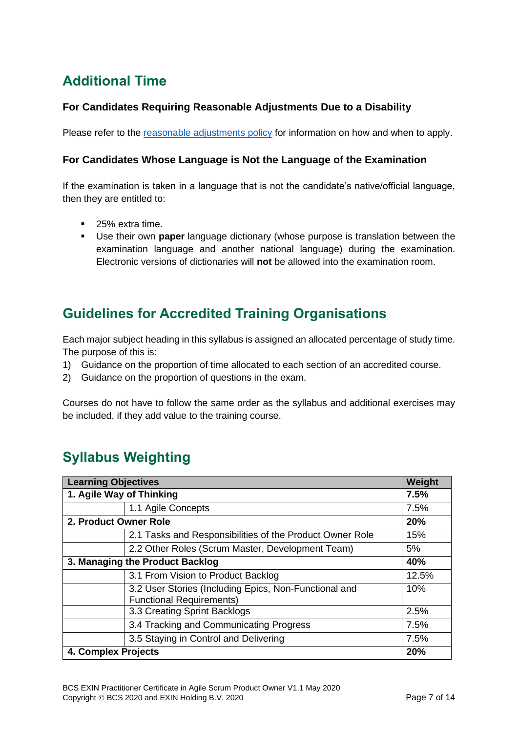## <span id="page-6-0"></span>**Additional Time**

#### <span id="page-6-1"></span>**For Candidates Requiring Reasonable Adjustments Due to a Disability**

Please refer to the [reasonable adjustments policy](https://certifications.bcs.org/upload/pdf/reasonable-adjustments-policy_1.pdf) for information on how and when to apply.

#### <span id="page-6-2"></span>**For Candidates Whose Language is Not the Language of the Examination**

If the examination is taken in a language that is not the candidate's native/official language, then they are entitled to:

- 25% extra time.
- Use their own **paper** language dictionary (whose purpose is translation between the examination language and another national language) during the examination. Electronic versions of dictionaries will **not** be allowed into the examination room.

### <span id="page-6-3"></span>**Guidelines for Accredited Training Organisations**

Each major subject heading in this syllabus is assigned an allocated percentage of study time. The purpose of this is:

- 1) Guidance on the proportion of time allocated to each section of an accredited course.
- 2) Guidance on the proportion of questions in the exam.

Courses do not have to follow the same order as the syllabus and additional exercises may be included, if they add value to the training course.

## <span id="page-6-4"></span>**Syllabus Weighting**

| <b>Learning Objectives</b>      |                                                                                          | Weight |
|---------------------------------|------------------------------------------------------------------------------------------|--------|
| 1. Agile Way of Thinking        |                                                                                          | 7.5%   |
|                                 | 1.1 Agile Concepts                                                                       | 7.5%   |
| 2. Product Owner Role           |                                                                                          | 20%    |
|                                 | 2.1 Tasks and Responsibilities of the Product Owner Role                                 | 15%    |
|                                 | 2.2 Other Roles (Scrum Master, Development Team)                                         | 5%     |
| 3. Managing the Product Backlog |                                                                                          | 40%    |
|                                 | 3.1 From Vision to Product Backlog                                                       | 12.5%  |
|                                 | 3.2 User Stories (Including Epics, Non-Functional and<br><b>Functional Requirements)</b> | 10%    |
|                                 | 3.3 Creating Sprint Backlogs                                                             | 2.5%   |
|                                 | 3.4 Tracking and Communicating Progress                                                  | 7.5%   |
|                                 | 3.5 Staying in Control and Delivering                                                    | 7.5%   |
| 4. Complex Projects             |                                                                                          | 20%    |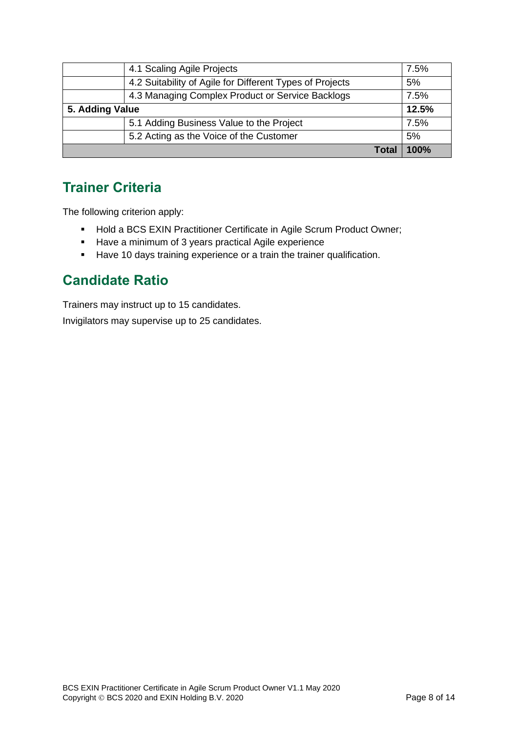| 5.2 Acting as the Voice of the Customer                  | 100%<br>Tota |
|----------------------------------------------------------|--------------|
|                                                          | 5%           |
| 5.1 Adding Business Value to the Project                 | 7.5%         |
| 5. Adding Value                                          |              |
| 4.3 Managing Complex Product or Service Backlogs         | 7.5%         |
| 4.2 Suitability of Agile for Different Types of Projects | 5%           |
| 4.1 Scaling Agile Projects                               | 7.5%         |

### <span id="page-7-0"></span>**Trainer Criteria**

The following criterion apply:

- Hold a BCS EXIN Practitioner Certificate in Agile Scrum Product Owner;
- Have a minimum of 3 years practical Agile experience
- Have 10 days training experience or a train the trainer qualification.

### <span id="page-7-1"></span>**Candidate Ratio**

Trainers may instruct up to 15 candidates.

Invigilators may supervise up to 25 candidates.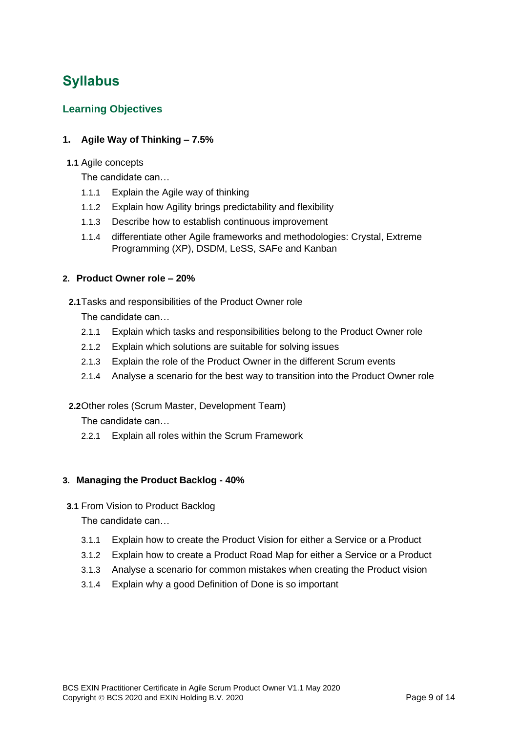# <span id="page-8-0"></span>**Syllabus**

#### <span id="page-8-1"></span>**Learning Objectives**

#### <span id="page-8-2"></span>**1. Agile Way of Thinking – 7.5%**

#### **1.1** Agile concepts

The candidate can…

- 1.1.1 Explain the Agile way of thinking
- 1.1.2 Explain how Agility brings predictability and flexibility
- 1.1.3 Describe how to establish continuous improvement
- 1.1.4 differentiate other Agile frameworks and methodologies: Crystal, Extreme Programming (XP), DSDM, LeSS, SAFe and Kanban

#### <span id="page-8-3"></span>**2. Product Owner role – 20%**

**2.1**Tasks and responsibilities of the Product Owner role

The candidate can…

- 2.1.1 Explain which tasks and responsibilities belong to the Product Owner role
- 2.1.2 Explain which solutions are suitable for solving issues
- 2.1.3 Explain the role of the Product Owner in the different Scrum events
- 2.1.4 Analyse a scenario for the best way to transition into the Product Owner role

#### **2.2**Other roles (Scrum Master, Development Team)

The candidate can…

2.2.1 Explain all roles within the Scrum Framework

#### <span id="page-8-4"></span>**3. Managing the Product Backlog - 40%**

**3.1** From Vision to Product Backlog

The candidate can…

- 3.1.1 Explain how to create the Product Vision for either a Service or a Product
- 3.1.2 Explain how to create a Product Road Map for either a Service or a Product
- 3.1.3 Analyse a scenario for common mistakes when creating the Product vision
- 3.1.4 Explain why a good Definition of Done is so important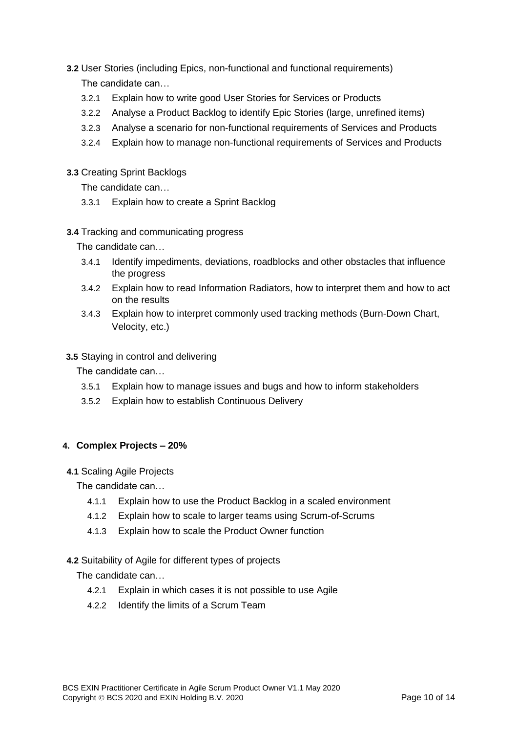- **3.2** User Stories (including Epics, non-functional and functional requirements) The candidate can…
	- 3.2.1 Explain how to write good User Stories for Services or Products
	- 3.2.2 Analyse a Product Backlog to identify Epic Stories (large, unrefined items)
	- 3.2.3 Analyse a scenario for non-functional requirements of Services and Products
	- 3.2.4 Explain how to manage non-functional requirements of Services and Products
- **3.3** Creating Sprint Backlogs

The candidate can…

- 3.3.1 Explain how to create a Sprint Backlog
- **3.4** Tracking and communicating progress

The candidate can…

- 3.4.1 Identify impediments, deviations, roadblocks and other obstacles that influence the progress
- 3.4.2 Explain how to read Information Radiators, how to interpret them and how to act on the results
- 3.4.3 Explain how to interpret commonly used tracking methods (Burn-Down Chart, Velocity, etc.)
- **3.5** Staying in control and delivering

The candidate can…

- 3.5.1 Explain how to manage issues and bugs and how to inform stakeholders
- 3.5.2 Explain how to establish Continuous Delivery

#### <span id="page-9-0"></span>**4. Complex Projects – 20%**

**4.1** Scaling Agile Projects

The candidate can…

- 4.1.1 Explain how to use the Product Backlog in a scaled environment
- 4.1.2 Explain how to scale to larger teams using Scrum-of-Scrums
- 4.1.3 Explain how to scale the Product Owner function

#### **4.2** Suitability of Agile for different types of projects

The candidate can…

- 4.2.1 Explain in which cases it is not possible to use Agile
- 4.2.2 Identify the limits of a Scrum Team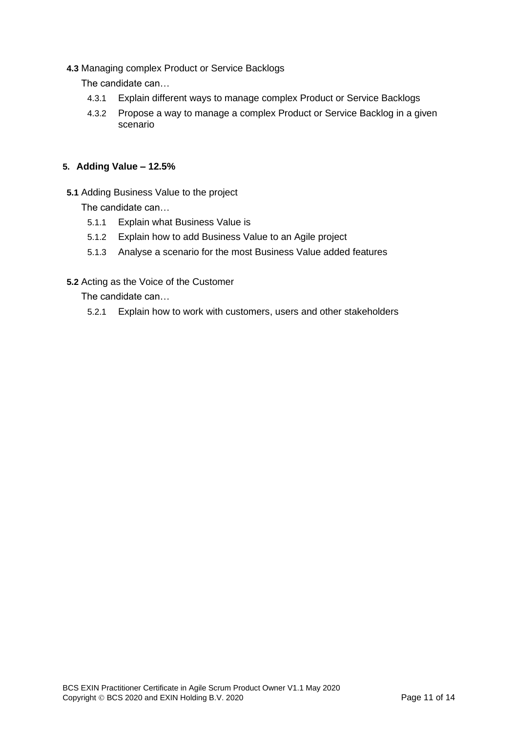**4.3** Managing complex Product or Service Backlogs

The candidate can…

- 4.3.1 Explain different ways to manage complex Product or Service Backlogs
- 4.3.2 Propose a way to manage a complex Product or Service Backlog in a given scenario

#### <span id="page-10-0"></span>**5. Adding Value – 12.5%**

**5.1** Adding Business Value to the project

The candidate can…

- 5.1.1 Explain what Business Value is
- 5.1.2 Explain how to add Business Value to an Agile project
- 5.1.3 Analyse a scenario for the most Business Value added features
- **5.2** Acting as the Voice of the Customer

The candidate can…

5.2.1 Explain how to work with customers, users and other stakeholders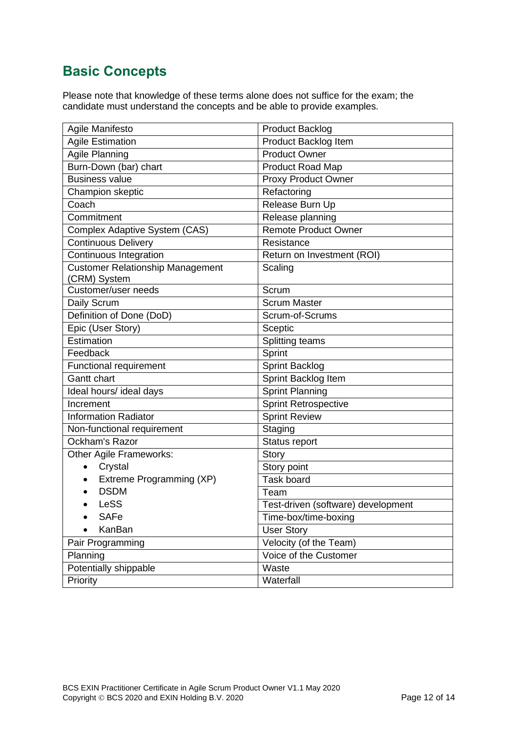### <span id="page-11-0"></span>**Basic Concepts**

Please note that knowledge of these terms alone does not suffice for the exam; the candidate must understand the concepts and be able to provide examples.

| Agile Manifesto                                  | <b>Product Backlog</b>             |  |
|--------------------------------------------------|------------------------------------|--|
| <b>Agile Estimation</b>                          | Product Backlog Item               |  |
| <b>Agile Planning</b>                            | <b>Product Owner</b>               |  |
| Burn-Down (bar) chart                            | Product Road Map                   |  |
| <b>Business value</b>                            | <b>Proxy Product Owner</b>         |  |
| Champion skeptic                                 | Refactoring                        |  |
| Coach                                            | Release Burn Up                    |  |
| Commitment                                       | Release planning                   |  |
| Complex Adaptive System (CAS)                    | <b>Remote Product Owner</b>        |  |
| <b>Continuous Delivery</b>                       | Resistance                         |  |
| Continuous Integration                           | Return on Investment (ROI)         |  |
| Customer Relationship Management<br>(CRM) System | Scaling                            |  |
| Customer/user needs                              | Scrum                              |  |
| Daily Scrum                                      | <b>Scrum Master</b>                |  |
| Definition of Done (DoD)                         | Scrum-of-Scrums                    |  |
| Epic (User Story)                                | Sceptic                            |  |
| Estimation                                       | Splitting teams                    |  |
| Feedback                                         | Sprint                             |  |
| Functional requirement                           | Sprint Backlog                     |  |
| Gantt chart                                      | Sprint Backlog Item                |  |
| Ideal hours/ ideal days                          | <b>Sprint Planning</b>             |  |
| Increment                                        | <b>Sprint Retrospective</b>        |  |
| <b>Information Radiator</b>                      | <b>Sprint Review</b>               |  |
| Non-functional requirement                       | Staging                            |  |
| Ockham's Razor                                   | Status report                      |  |
| Other Agile Frameworks:                          | <b>Story</b>                       |  |
| Crystal<br>$\bullet$                             | Story point                        |  |
| Extreme Programming (XP)<br>$\bullet$            | Task board                         |  |
| <b>DSDM</b>                                      | Team                               |  |
| LeSS                                             | Test-driven (software) development |  |
| <b>SAFe</b>                                      | Time-box/time-boxing               |  |
| KanBan                                           | <b>User Story</b>                  |  |
| Pair Programming                                 | Velocity (of the Team)             |  |
| Planning                                         | Voice of the Customer              |  |
| Potentially shippable                            | Waste                              |  |
| Priority                                         | Waterfall                          |  |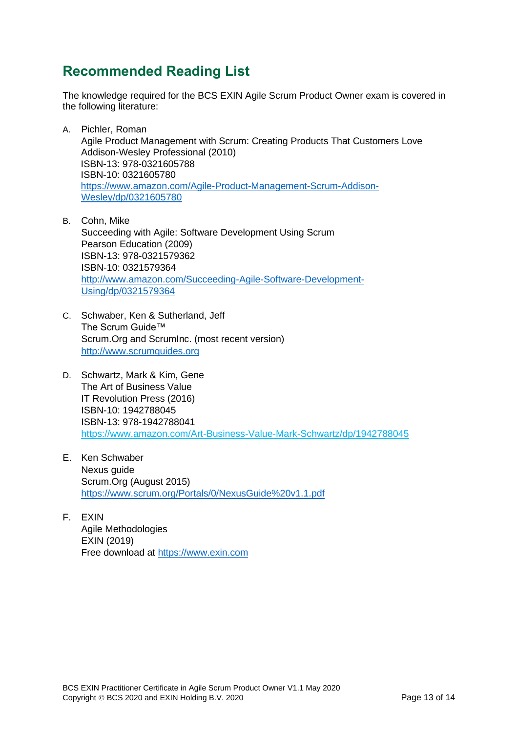### <span id="page-12-0"></span>**Recommended Reading List**

The knowledge required for the BCS EXIN Agile Scrum Product Owner exam is covered in the following literature:

- A. Pichler, Roman Agile Product Management with Scrum: Creating Products That Customers Love Addison-Wesley Professional (2010) ISBN-13: 978-0321605788 ISBN-10: 0321605780 [https://www.amazon.com/Agile-Product-Management-Scrum-Addison-](https://www.amazon.com/Agile-Product-Management-Scrum-Addison-Wesley/dp/0321605780)[Wesley/dp/0321605780](https://www.amazon.com/Agile-Product-Management-Scrum-Addison-Wesley/dp/0321605780)
- B. Cohn, Mike Succeeding with Agile: Software Development Using Scrum Pearson Education (2009) ISBN-13: 978-0321579362 ISBN-10: 0321579364 [http://www.amazon.com/Succeeding-Agile-Software-Development-](http://www.amazon.com/Succeeding-Agile-Software-Development-Using/dp/0321579364)[Using/dp/0321579364](http://www.amazon.com/Succeeding-Agile-Software-Development-Using/dp/0321579364)
- C. Schwaber, Ken & Sutherland, Jeff The Scrum Guide™ Scrum.Org and ScrumInc. (most recent version) [http://www.scrumguides.org](http://www.scrumguides.org/)
- D. Schwartz, Mark & Kim, Gene The Art of Business Value IT Revolution Press (2016) ISBN-10: 1942788045 ISBN-13: 978-1942788041 <https://www.amazon.com/Art-Business-Value-Mark-Schwartz/dp/1942788045>
- E. Ken Schwaber Nexus guide Scrum.Org (August 2015) <https://www.scrum.org/Portals/0/NexusGuide%20v1.1.pdf>
- F. EXIN Agile Methodologies EXIN (2019) Free download at [https://www.exin.com](https://www.exin.com/certifications/exin-agile-scrum-product-owner-exam)